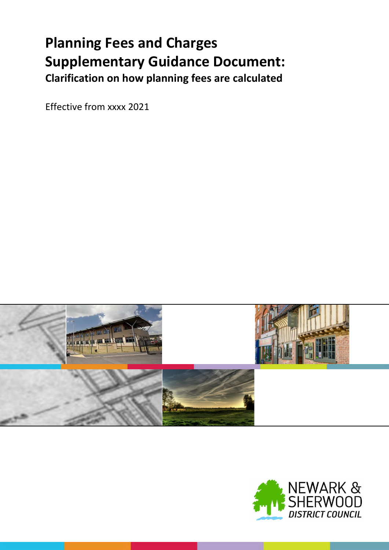# **Planning Fees and Charges Supplementary Guidance Document: Clarification on how planning fees are calculated**

Effective from xxxx 2021



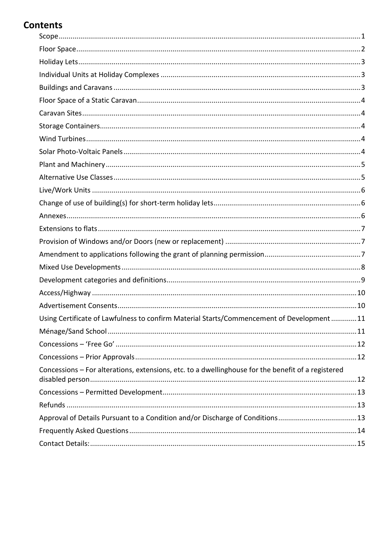# **Contents**

| Using Certificate of Lawfulness to confirm Material Starts/Commencement of Development11<br>Concessions - For alterations, extensions, etc. to a dwellinghouse for the benefit of a registered<br>Approval of Details Pursuant to a Condition and/or Discharge of Conditions13 |  |
|--------------------------------------------------------------------------------------------------------------------------------------------------------------------------------------------------------------------------------------------------------------------------------|--|
|                                                                                                                                                                                                                                                                                |  |
|                                                                                                                                                                                                                                                                                |  |
|                                                                                                                                                                                                                                                                                |  |
|                                                                                                                                                                                                                                                                                |  |
|                                                                                                                                                                                                                                                                                |  |
|                                                                                                                                                                                                                                                                                |  |
|                                                                                                                                                                                                                                                                                |  |
|                                                                                                                                                                                                                                                                                |  |
|                                                                                                                                                                                                                                                                                |  |
|                                                                                                                                                                                                                                                                                |  |
|                                                                                                                                                                                                                                                                                |  |
|                                                                                                                                                                                                                                                                                |  |
|                                                                                                                                                                                                                                                                                |  |
|                                                                                                                                                                                                                                                                                |  |
|                                                                                                                                                                                                                                                                                |  |
|                                                                                                                                                                                                                                                                                |  |
|                                                                                                                                                                                                                                                                                |  |
|                                                                                                                                                                                                                                                                                |  |
|                                                                                                                                                                                                                                                                                |  |
|                                                                                                                                                                                                                                                                                |  |
|                                                                                                                                                                                                                                                                                |  |
|                                                                                                                                                                                                                                                                                |  |
|                                                                                                                                                                                                                                                                                |  |
|                                                                                                                                                                                                                                                                                |  |
|                                                                                                                                                                                                                                                                                |  |
|                                                                                                                                                                                                                                                                                |  |
|                                                                                                                                                                                                                                                                                |  |
|                                                                                                                                                                                                                                                                                |  |
|                                                                                                                                                                                                                                                                                |  |
|                                                                                                                                                                                                                                                                                |  |
|                                                                                                                                                                                                                                                                                |  |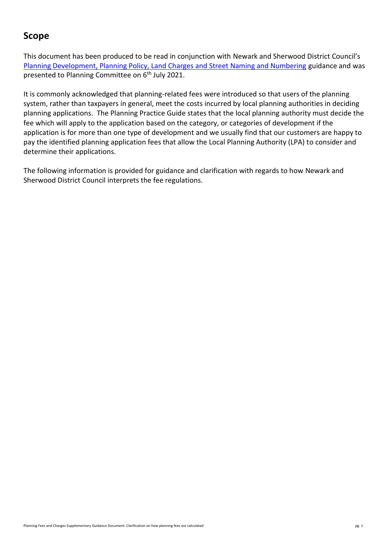# <span id="page-2-0"></span>**Scope**

This document has been produced to be read in conjunction with Newark and Sherwood District Council's [Planning Development, Planning Policy, Land Charges and Street Naming and Numbering](https://www.newark-sherwooddc.gov.uk/media/newarkandsherwood/imagesandfiles/planningpolicy/pdfs/fees%20and%20charges%20budget%202021-22.pdf) guidance and was presented to Planning Committee on 6<sup>th</sup> July 2021.

It is commonly acknowledged that planning-related fees were introduced so that users of the planning system, rather than taxpayers in general, meet the costs incurred by local planning authorities in deciding planning applications. The Planning Practice Guide states that the local planning authority must decide the fee which will apply to the application based on the category, or categories of development if the application is for more than one type of development and we usually find that our customers are happy to pay the identified planning application fees that allow the Local Planning Authority (LPA) to consider and determine their applications.

The following information is provided for guidance and clarification with regards to how Newark and Sherwood District Council interprets the fee regulations.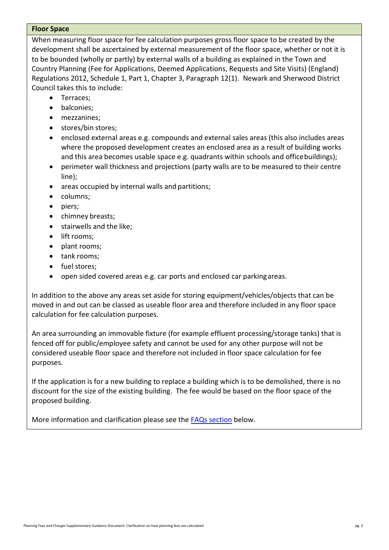#### <span id="page-3-0"></span>**Floor Space**

When measuring floor space for fee calculation purposes gross floor space to be created by the development shall be ascertained by external measurement of the floor space, whether or not it is to be bounded (wholly or partly) by external walls of a building as explained in the Town and Country Planning (Fee for Applications, Deemed Applications, Requests and Site Visits) (England) Regulations 2012, Schedule 1, Part 1, Chapter 3, Paragraph 12(1). Newark and Sherwood District Council takes this to include:

- Terraces;
- balconies;
- mezzanines;
- stores/bin stores;
- enclosed external areas e.g. compounds and external sales areas (this also includes areas where the proposed development creates an enclosed area as a result of building works and this area becomes usable space e.g. quadrants within schools and office buildings);
- perimeter wall thickness and projections (party walls are to be measured to their centre line);
- areas occupied by internal walls and partitions;
- columns;
- piers;
- chimney breasts;
- **•** stairwells and the like;
- lift rooms;
- plant rooms;
- tank rooms;
- fuel stores;
- open sided covered areas e.g. car ports and enclosed car parkingareas.

In addition to the above any areas set aside for storing equipment/vehicles/objects that can be moved in and out can be classed as useable floor area and therefore included in any floor space calculation for fee calculation purposes.

An area surrounding an immovable fixture (for example effluent processing/storage tanks) that is fenced off for public/employee safety and cannot be used for any other purpose will not be considered useable floor space and therefore not included in floor space calculation for fee purposes.

If the application is for a new building to replace a building which is to be demolished, there is no discount for the size of the existing building. The fee would be based on the floor space of the proposed building.

More information and clarification please see the [FAQs section](#page-15-0) below.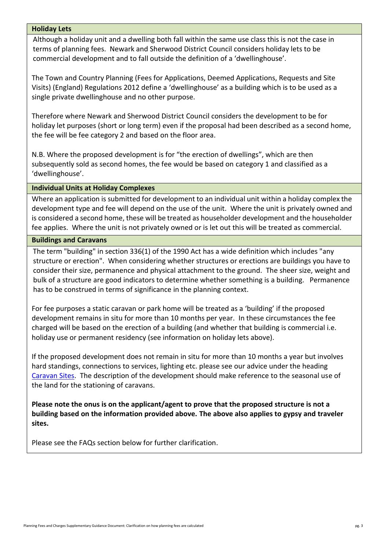#### <span id="page-4-0"></span>**Holiday Lets**

Although a holiday unit and a dwelling both fall within the same use class this is not the case in terms of planning fees. Newark and Sherwood District Council considers holiday lets to be commercial development and to fall outside the definition of a 'dwellinghouse'.

The Town and Country Planning (Fees for Applications, Deemed Applications, Requests and Site Visits) (England) Regulations 2012 define a 'dwellinghouse' as a building which is to be used as a single private dwellinghouse and no other purpose.

Therefore where Newark and Sherwood District Council considers the development to be for holiday let purposes (short or long term) even if the proposal had been described as a second home, the fee will be fee category 2 and based on the floor area.

N.B. Where the proposed development is for "the erection of dwellings", which are then subsequently sold as second homes, the fee would be based on category 1 and classified as a 'dwellinghouse'.

#### <span id="page-4-1"></span>**Individual Units at Holiday Complexes**

Where an application is submitted for development to an individual unit within a holiday complex the development type and fee will depend on the use of the unit. Where the unit is privately owned and is considered a second home, these will be treated as householder development and the householder fee applies. Where the unit is not privately owned or is let out this will be treated as commercial.

#### <span id="page-4-2"></span>**Buildings and Caravans**

The term "building" in section 336(1) of the 1990 Act has a wide definition which includes "any structure or erection". When considering whether structures or erections are buildings you have to consider their size, permanence and physical attachment to the ground. The sheer size, weight and bulk of a structure are good indicators to determine whether something is a building. Permanence has to be construed in terms of significance in the planning context.

For fee purposes a static caravan or park home will be treated as a 'building' if the proposed development remains in situ for more than 10 months per year. In these circumstances the fee charged will be based on the erection of a building (and whether that building is commercial i.e. holiday use or permanent residency (see information on holiday lets above).

If the proposed development does not remain in situ for more than 10 months a year but involves hard standings, connections to services, lighting etc. please see our advice under the heading [Caravan Sites.](#page-5-1) The description of the development should make reference to the seasonal use of the land for the stationing of caravans.

**Please note the onus is on the applicant/agent to prove that the proposed structure is not a building based on the information provided above. The above also applies to gypsy and traveler sites.**

Please see the FAQs section below for further clarification.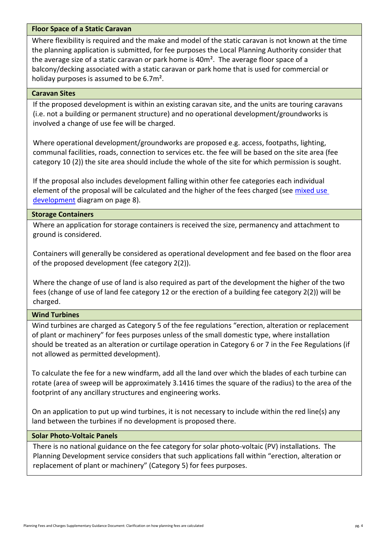# <span id="page-5-0"></span>**Floor Space of a Static Caravan**

Where flexibility is required and the make and model of the static caravan is not known at the time the planning application is submitted, for fee purposes the Local Planning Authority consider that the average size of a static caravan or park home is 40m<sup>2</sup>. The average floor space of a balcony/decking associated with a static caravan or park home that is used for commercial or holiday purposes is assumed to be 6.7m².

#### <span id="page-5-1"></span>**Caravan Sites**

If the proposed development is within an existing caravan site, and the units are touring caravans (i.e. not a building or permanent structure) and no operational development/groundworks is involved a change of use fee will be charged.

Where operational development/groundworks are proposed e.g. access, footpaths, lighting, communal facilities, roads, connection to services etc. the fee will be based on the site area (fee category 10 (2)) the site area should include the whole of the site for which permission is sought.

If the proposal also includes development falling within other fee categories each individual element of the proposal will be calculated and the higher of the fees charged (see mixed use [development](#page-9-0) diagram on page 8).

#### <span id="page-5-2"></span>**Storage Containers**

Where an application for storage containers is received the size, permanency and attachment to ground is considered.

Containers will generally be considered as operational development and fee based on the floor area of the proposed development (fee category 2(2)).

Where the change of use of land is also required as part of the development the higher of the two fees (change of use of land fee category 12 or the erection of a building fee category 2(2)) will be charged.

# <span id="page-5-3"></span>**Wind Turbines**

Wind turbines are charged as Category 5 of the fee regulations "erection, alteration or replacement of plant or machinery" for fees purposes unless of the small domestic type, where installation should be treated as an alteration or curtilage operation in Category 6 or 7 in the Fee Regulations (if not allowed as permitted development).

To calculate the fee for a new windfarm, add all the land over which the blades of each turbine can rotate (area of sweep will be approximately 3.1416 times the square of the radius) to the area of the footprint of any ancillary structures and engineering works.

On an application to put up wind turbines, it is not necessary to include within the red line(s) any land between the turbines if no development is proposed there.

# <span id="page-5-4"></span>**Solar Photo-Voltaic Panels**

There is no national guidance on the fee category for solar photo-voltaic (PV) installations. The Planning Development service considers that such applications fall within "erection, alteration or replacement of plant or machinery" (Category 5) for fees purposes.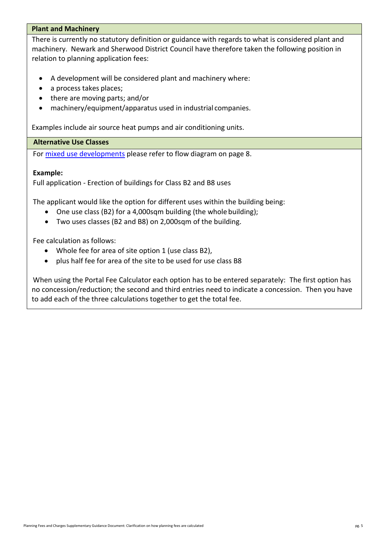# <span id="page-6-0"></span>**Plant and Machinery**

There is currently no statutory definition or guidance with regards to what is considered plant and machinery. Newark and Sherwood District Council have therefore taken the following position in relation to planning application fees:

- A development will be considered plant and machinery where:
- a process takes places;
- there are moving parts; and/or
- machinery/equipment/apparatus used in industrial companies.

Examples include air source heat pumps and air conditioning units.

#### <span id="page-6-1"></span>**Alternative Use Classes**

For [mixed use developments](#page-9-0) please refer to flow diagram on page 8.

#### **Example:**

Full application - Erection of buildings for Class B2 and B8 uses

The applicant would like the option for different uses within the building being:

- One use class (B2) for a 4,000sqm building (the whole building);
- Two uses classes (B2 and B8) on 2,000sqm of the building.

Fee calculation as follows:

- Whole fee for area of site option 1 (use class B2),
- plus half fee for area of the site to be used for use class B8

When using the Portal Fee Calculator each option has to be entered separately: The first option has no concession/reduction; the second and third entries need to indicate a concession. Then you have to add each of the three calculations together to get the total fee.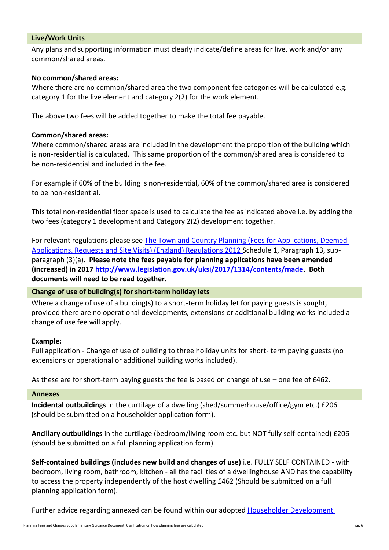# <span id="page-7-0"></span>**Live/Work Units**

Any plans and supporting information must clearly indicate/define areas for live, work and/or any common/shared areas.

# **No common/shared areas:**

Where there are no common/shared area the two component fee categories will be calculated e.g. category 1 for the live element and category 2(2) for the work element.

The above two fees will be added together to make the total fee payable.

# **Common/shared areas:**

Where common/shared areas are included in the development the proportion of the building which is non-residential is calculated. This same proportion of the common/shared area is considered to be non-residential and included in the fee.

For example if 60% of the building is non-residential, 60% of the common/shared area is considered to be non-residential.

This total non-residential floor space is used to calculate the fee as indicated above i.e. by adding the two fees (category 1 development and Category 2(2) development together.

For relevant regulations please see [The Town and Country Planning \(Fees for Applications, Deemed](http://www.legislation.gov.uk/uksi/2012/2920/schedule/1/made) [Applications, Requests and Site Visits\) \(England\) Regulations 2012 S](http://www.legislation.gov.uk/uksi/2012/2920/schedule/1/made)chedule 1, Paragraph 13, subparagraph (3)(a). **Please note the fees payable for planning applications have been amended (increased) in 2017 [http://www.legislation.gov.uk/uksi/2017/1314/contents/made.](http://www.legislation.gov.uk/uksi/2017/1314/contents/made) Both documents will need to be read together.**

<span id="page-7-1"></span>**Change of use of building(s) for short-term holiday lets**

Where a change of use of a building(s) to a short-term holiday let for paying guests is sought, provided there are no operational developments, extensions or additional building works included a change of use fee will apply.

# **Example:**

Full application - Change of use of building to three holiday units for short- term paying guests (no extensions or operational or additional building works included).

As these are for short-term paying guests the fee is based on change of use – one fee of £462.

# <span id="page-7-2"></span>**Annexes**

**Incidental outbuildings** in the curtilage of a dwelling (shed/summerhouse/office/gym etc.) £206 (should be submitted on a householder application form).

**Ancillary outbuildings** in the curtilage (bedroom/living room etc. but NOT fully self-contained) £206 (should be submitted on a full planning application form).

**Self-contained buildings (includes new build and changes of use)** i.e. FULLY SELF CONTAINED - with bedroom, living room, bathroom, kitchen - all the facilities of a dwellinghouse AND has the capability to access the property independently of the host dwelling £462 (Should be submitted on a full planning application form).

Further advice regarding annexed can be found within our adopted Householder Development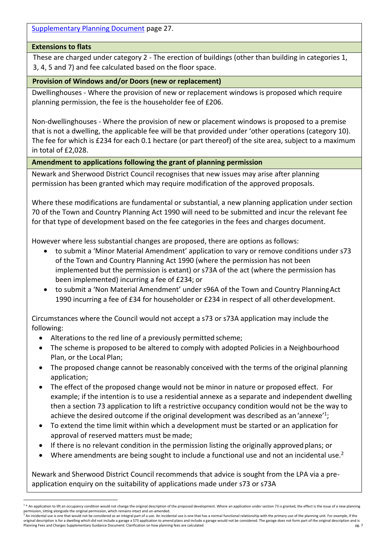[Supplementary Planning Document](https://www.newark-sherwooddc.gov.uk/media/newarkandsherwood/imagesandfiles/planningpolicy/pdfs/supplementaryplanningdocuments/Adopted%20Householder%20Development%20SPD.pdf) page 27.

# <span id="page-8-0"></span>**Extensions to flats**

These are charged under category 2 - The erection of buildings (other than building in categories 1, 3, 4, 5 and 7) and fee calculated based on the floor space.

# <span id="page-8-1"></span>**Provision of Windows and/or Doors (new or replacement)**

Dwellinghouses - Where the provision of new or replacement windows is proposed which require planning permission, the fee is the householder fee of £206.

Non-dwellinghouses - Where the provision of new or placement windows is proposed to a premise that is not a dwelling, the applicable fee will be that provided under 'other operations (category 10). The fee for which is £234 for each 0.1 hectare (or part thereof) of the site area, subject to a maximum in total of £2,028.

# <span id="page-8-2"></span>**Amendment to applications following the grant of planning permission**

Newark and Sherwood District Council recognises that new issues may arise after planning permission has been granted which may require modification of the approved proposals.

Where these modifications are fundamental or substantial, a new planning application under section 70 of the Town and Country Planning Act 1990 will need to be submitted and incur the relevant fee for that type of development based on the fee categories in the fees and charges document.

However where less substantial changes are proposed, there are options as follows:

- to submit a 'Minor Material Amendment' application to vary or remove conditions under s73 of the Town and Country Planning Act 1990 (where the permission has not been implemented but the permission is extant) or s73A of the act (where the permission has been implemented) incurring a fee of £234; or
- to submit a 'Non Material Amendment' under s96A of the Town and Country PlanningAct 1990 incurring a fee of £34 for householder or £234 in respect of all otherdevelopment.

Circumstances where the Council would not accept a s73 or s73A application may include the following:

- Alterations to the red line of a previously permitted scheme;
- The scheme is proposed to be altered to comply with adopted Policies in a Neighbourhood Plan, or the Local Plan;
- The proposed change cannot be reasonably conceived with the terms of the original planning application;
- The effect of the proposed change would not be minor in nature or proposed effect. For example; if the intention is to use a residential annexe as a separate and independent dwelling then a section 73 application to lift a restrictive occupancy condition would not be the way to achieve the desired outcome if the original development was described as an 'annexe'<sup>1</sup>;
- To extend the time limit within which a development must be started or an application for approval of reserved matters must be made;
- If there is no relevant condition in the permission listing the originally approvedplans; or
- Where amendments are being sought to include a functional use and not an incidental use.<sup>2</sup>

Newark and Sherwood District Council recommends that advice is sought from the LPA via a preapplication enquiry on the suitability of applications made under s73 or s73A

<sup>-</sup>1 \* An application to lift an occupancy condition would not change the original description of the proposed development. Where an application under section 73 is granted, the effect is the issue of a new planning permission, sitting alongside the original permission, which remains intact and un-amended.

Planning Fees and Charges Supplementary Guidance Document: Clarification on how planning fees are calculated pg. 7 <sup>2</sup> An incidental use is one that would not be considered as an integral part of a use. An incidental use is one that has a normal functional relationship with the primary use of the planning unit. For example, if the original description is for a dwelling which did not include a garage a S73 application to amend plans and include a garage would not be considered. The garage does not form part of the original description and is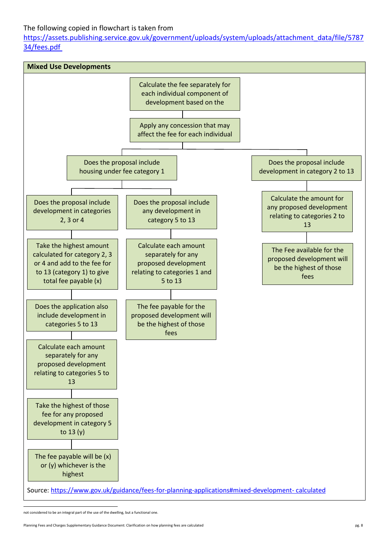# The following copied in flowchart is taken from

[https://assets.publishing.service.gov.uk/government/uploads/system/uploads/attachment\\_data/file/5787](https://assets.publishing.service.gov.uk/government/uploads/system/uploads/attachment_data/file/578734/fees.pdf) [34/fees.pdf](https://assets.publishing.service.gov.uk/government/uploads/system/uploads/attachment_data/file/578734/fees.pdf)

<span id="page-9-0"></span>

not considered to be an integral part of the use of the dwelling, but a functional one.

Planning Fees and Charges Supplementary Guidance Document: Clarification on how planning fees are calculated pg. 8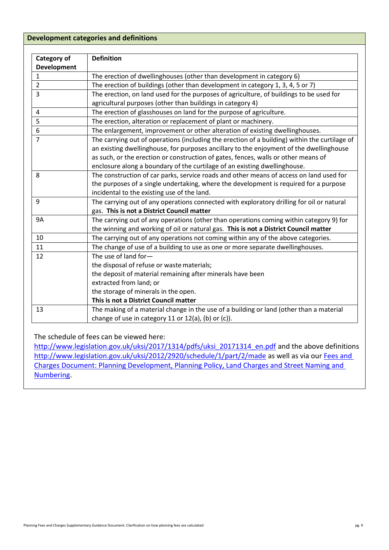# <span id="page-10-0"></span>**Development categories and definitions**

| Category of        | <b>Definition</b>                                                                             |
|--------------------|-----------------------------------------------------------------------------------------------|
| <b>Development</b> |                                                                                               |
| $\mathbf{1}$       | The erection of dwellinghouses (other than development in category 6)                         |
| $\overline{2}$     | The erection of buildings (other than development in category 1, 3, 4, 5 or 7)                |
| $\overline{3}$     | The erection, on land used for the purposes of agriculture, of buildings to be used for       |
|                    | agricultural purposes (other than buildings in category 4)                                    |
| $\overline{4}$     | The erection of glasshouses on land for the purpose of agriculture.                           |
| 5                  | The erection, alteration or replacement of plant or machinery.                                |
| 6                  | The enlargement, improvement or other alteration of existing dwellinghouses.                  |
| $\overline{7}$     | The carrying out of operations (including the erection of a building) within the curtilage of |
|                    | an existing dwellinghouse, for purposes ancillary to the enjoyment of the dwellinghouse       |
|                    | as such, or the erection or construction of gates, fences, walls or other means of            |
|                    | enclosure along a boundary of the curtilage of an existing dwellinghouse.                     |
| 8                  | The construction of car parks, service roads and other means of access on land used for       |
|                    | the purposes of a single undertaking, where the development is required for a purpose         |
|                    | incidental to the existing use of the land.                                                   |
| 9                  | The carrying out of any operations connected with exploratory drilling for oil or natural     |
|                    | gas. This is not a District Council matter                                                    |
| <b>9A</b>          | The carrying out of any operations (other than operations coming within category 9) for       |
|                    | the winning and working of oil or natural gas. This is not a District Council matter          |
| 10                 | The carrying out of any operations not coming within any of the above categories.             |
| 11                 | The change of use of a building to use as one or more separate dwellinghouses.                |
| 12                 | The use of land for-                                                                          |
|                    | the disposal of refuse or waste materials;                                                    |
|                    | the deposit of material remaining after minerals have been                                    |
|                    | extracted from land; or                                                                       |
|                    | the storage of minerals in the open.                                                          |
|                    | This is not a District Council matter                                                         |
| 13                 | The making of a material change in the use of a building or land (other than a material       |
|                    | change of use in category 11 or 12(a), (b) or (c)).                                           |

The schedule of fees can be viewed here:

[http://www.legislation.gov.uk/uksi/2017/1314/pdfs/uksi\\_20171314\\_en.pdf](http://www.legislation.gov.uk/uksi/2017/1314/pdfs/uksi_20171314_en.pdf) and the above definitions <http://www.legislation.gov.uk/uksi/2012/2920/schedule/1/part/2/made> as well as via our Fees and [Charges Document: Planning Development, Planning Policy, Land Charges and Street Naming and](https://www.newark-sherwooddc.gov.uk/media/newarkandsherwood/imagesandfiles/planningpolicy/pdfs/fees%20and%20charges%20budget%202021-22.pdf)  [Numbering.](https://www.newark-sherwooddc.gov.uk/media/newarkandsherwood/imagesandfiles/planningpolicy/pdfs/fees%20and%20charges%20budget%202021-22.pdf)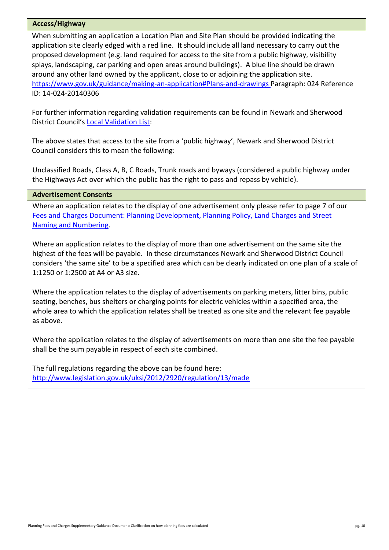#### <span id="page-11-0"></span>**Access/Highway**

When submitting an application a Location Plan and Site Plan should be provided indicating the application site clearly edged with a red line. It should include all land necessary to carry out the proposed development (e.g. land required for access to the site from a public highway, visibility splays, landscaping, car parking and open areas around buildings). A blue line should be drawn around any other land owned by the applicant, close to or adjoining the application site. [https://www.gov.uk/guidance/making-an-application#Plans-and-drawings P](https://www.gov.uk/guidance/making-an-application#Plans-and-drawings)aragraph: 024 Reference ID: 14-024-20140306

For further information regarding validation requirements can be found in Newark and Sherwood District Council's [Local Validation List:](https://www.newark-sherwooddc.gov.uk/media/newarkandsherwood/imagesandfiles/planningpolicy/pdfs/Planning%20Application%20Validation%20Checklist.pdf)

The above states that access to the site from a 'public highway', Newark and Sherwood District Council considers this to mean the following:

Unclassified Roads, Class A, B, C Roads, Trunk roads and byways (considered a public highway under the Highways Act over which the public has the right to pass and repass by vehicle).

# <span id="page-11-1"></span>**Advertisement Consents**

Where an application relates to the display of one advertisement only please refer to page 7 of our [Fees and Charges Document: Planning Development, Planning Policy, Land Charges and Street](https://www.newark-sherwooddc.gov.uk/media/newarkandsherwood/imagesandfiles/planningpolicy/pdfs/fees%20and%20charges%20budget%202021-22.pdf)  [Naming and Numbering.](https://www.newark-sherwooddc.gov.uk/media/newarkandsherwood/imagesandfiles/planningpolicy/pdfs/fees%20and%20charges%20budget%202021-22.pdf)

Where an application relates to the display of more than one advertisement on the same site the highest of the fees will be payable. In these circumstances Newark and Sherwood District Council considers 'the same site' to be a specified area which can be clearly indicated on one plan of a scale of 1:1250 or 1:2500 at A4 or A3 size.

Where the application relates to the display of advertisements on parking meters, litter bins, public seating, benches, bus shelters or charging points for electric vehicles within a specified area, the whole area to which the application relates shall be treated as one site and the relevant fee payable as above.

Where the application relates to the display of advertisements on more than one site the fee payable shall be the sum payable in respect of each site combined.

The full regulations regarding the above can be found here: <http://www.legislation.gov.uk/uksi/2012/2920/regulation/13/made>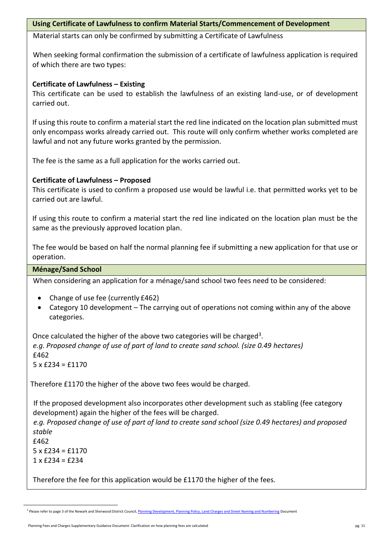# <span id="page-12-0"></span>**Using Certificate of Lawfulness to confirm Material Starts/Commencement of Development**

Material starts can only be confirmed by submitting a Certificate of Lawfulness

When seeking formal confirmation the submission of a certificate of lawfulness application is required of which there are two types:

# **Certificate of Lawfulness – Existing**

This certificate can be used to establish the lawfulness of an existing land-use, or of development carried out.

If using this route to confirm a material start the red line indicated on the location plan submitted must only encompass works already carried out. This route will only confirm whether works completed are lawful and not any future works granted by the permission.

The fee is the same as a full application for the works carried out.

# **Certificate of Lawfulness – Proposed**

This certificate is used to confirm a proposed use would be lawful i.e. that permitted works yet to be carried out are lawful.

If using this route to confirm a material start the red line indicated on the location plan must be the same as the previously approved location plan.

The fee would be based on half the normal planning fee if submitting a new application for that use or operation.

# <span id="page-12-1"></span>**Ménage/Sand School**

When considering an application for a ménage/sand school two fees need to be considered:

- Change of use fee (currently £462)
- Category 10 development The carrying out of operations not coming within any of the above categories.

Once calculated the higher of the above two categories will be charged<sup>3</sup>. *e.g. Proposed change of use of part of land to create sand school. (size 0.49 hectares)* £462  $5 \times £234 = £1170$ 

Therefore £1170 the higher of the above two fees would be charged.

If the proposed development also incorporates other development such as stabling (fee category development) again the higher of the fees will be charged.

*e.g. Proposed change of use of part of land to create sand school (size 0.49 hectares) and proposed stable*

f462  $5 \times £234 = £1170$  $1 \times$  £234 = £234

4.

-

Therefore the fee for this application would be £1170 the higher of the fees.

<sup>&</sup>lt;sup>3</sup> Please refer to page 3 of the Newark and Sherwood District Council[, Planning Development, Planning Policy, Land Charges and Street Naming and Numbering](https://www.newark-sherwooddc.gov.uk/media/newarkandsherwood/imagesandfiles/planningpolicy/pdfs/fees%20and%20charges%20budget%202021-22.pdf) Document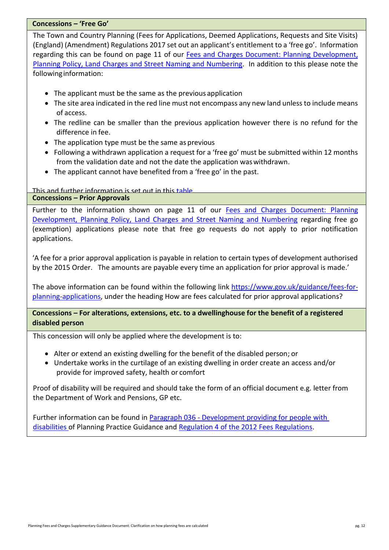#### <span id="page-13-0"></span>**Concessions – 'Free Go'**

The Town and Country Planning (Fees for Applications, Deemed Applications, Requests and Site Visits) (England) (Amendment) Regulations 2017 set out an applicant's entitlement to a 'free go'. Information regarding this can be found on page 11 of our [Fees and Charges Document: Planning Development,](https://www.newark-sherwooddc.gov.uk/media/newarkandsherwood/imagesandfiles/planningpolicy/pdfs/fees%20and%20charges%20budget%202021-22.pdf)  [Planning Policy, Land Charges and Street Naming and Numbering.](https://www.newark-sherwooddc.gov.uk/media/newarkandsherwood/imagesandfiles/planningpolicy/pdfs/fees%20and%20charges%20budget%202021-22.pdf) In addition to this please note the followinginformation:

- The applicant must be the same as the previous application
- The site area indicated in the red line must not encompass any new land unless to include means of access.
- The redline can be smaller than the previous application however there is no refund for the difference in fee.
- The application type must be the same as previous
- Following a withdrawn application a request for a 'free go' must be submitted within 12 months from the validation date and not the date the application waswithdrawn.
- The applicant cannot have benefited from a 'free go' in the past.

This and further information is set out in this [table.](https://assets.publishing.service.gov.uk/government/uploads/system/uploads/attachment_data/file/574500/When_are_applications_eligible_for_a__free_go_.pdf)

#### <span id="page-13-1"></span>**Concessions – Prior Approvals**

Further to the information shown on page 11 of our Fees and Charges Document: Planning [Development, Planning Policy, Land Charges and Street Naming and Numbering](https://www.newark-sherwooddc.gov.uk/media/newarkandsherwood/imagesandfiles/planningpolicy/pdfs/fees%20and%20charges%20budget%202021-22.pdf) regarding free go (exemption) applications please note that free go requests do not apply to prior notification applications.

'A fee for a prior approval application is payable in relation to certain types of development authorised by the 2015 Order. The amounts are payable every time an application for prior approval is made.'

The above information can be found within the following link [https://www.gov.uk/guidance/fees-for](https://www.gov.uk/guidance/fees-for-planning-applications)[planning-applications,](https://www.gov.uk/guidance/fees-for-planning-applications) under the heading How are fees calculated for prior approval applications?

# <span id="page-13-2"></span>**Concessions – For alterations, extensions, etc. to a dwellinghouse for the benefit of a registered disabled person**

This concession will only be applied where the development is to:

- Alter or extend an existing dwelling for the benefit of the disabled person; or
- Undertake works in the curtilage of an existing dwelling in order create an access and/or provide for improved safety, health or comfort

Proof of disability will be required and should take the form of an official document e.g. letter from the Department of Work and Pensions, GP etc.

Further information can be found in **Paragraph 036 - [Development providing for people with](https://www.gov.uk/guidance/fees-for-planning-applications#exemption-or-concession)** [disabilities o](https://www.gov.uk/guidance/fees-for-planning-applications#exemption-or-concession)f Planning Practice Guidance an[d Regulation 4 of the 2012 Fees Regulations.](http://www.legislation.gov.uk/uksi/2012/2920/regulation/4/made)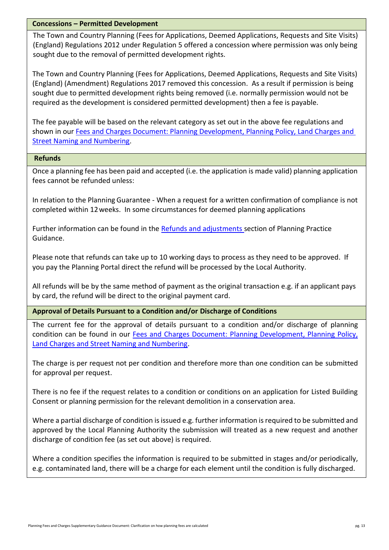## <span id="page-14-0"></span>**Concessions – Permitted Development**

The Town and Country Planning (Fees for Applications, Deemed Applications, Requests and Site Visits) (England) Regulations 2012 under Regulation 5 offered a concession where permission was only being sought due to the removal of permitted development rights.

The Town and Country Planning (Fees for Applications, Deemed Applications, Requests and Site Visits) (England) (Amendment) Regulations 2017 removed this concession. As a result if permission is being sought due to permitted development rights being removed (i.e. normally permission would not be required as the development is considered permitted development) then a fee is payable.

The fee payable will be based on the relevant category as set out in the above fee regulations and shown in our Fees and Charges Document: Planning Development, Planning Policy, Land Charges and [Street Naming and Numbering.](https://www.newark-sherwooddc.gov.uk/media/newarkandsherwood/imagesandfiles/planningpolicy/pdfs/fees%20and%20charges%20budget%202021-22.pdf)

#### <span id="page-14-1"></span>**Refunds**

Once a planning fee has been paid and accepted (i.e. the application is made valid) planning application fees cannot be refunded unless:

 In relation to the Planning Guarantee - When a request for a written confirmation of compliance is not completed within 12weeks. In some circumstances for deemed planning applications

Further information can be found in the [Refunds and adjustments s](https://www.gov.uk/guidance/fees-for-planning-applications#exemption-or-concession)ection of Planning Practice Guidance.

Please note that refunds can take up to 10 working days to process as they need to be approved. If you pay the Planning Portal direct the refund will be processed by the Local Authority.

All refunds will be by the same method of payment as the original transaction e.g. if an applicant pays by card, the refund will be direct to the original payment card.

<span id="page-14-2"></span>**Approval of Details Pursuant to a Condition and/or Discharge of Conditions**

The current fee for the approval of details pursuant to a condition and/or discharge of planning condition can be found in our [Fees and Charges Document: Planning Development, Planning Policy,](https://www.newark-sherwooddc.gov.uk/media/newarkandsherwood/imagesandfiles/planningpolicy/pdfs/fees%20and%20charges%20budget%202021-22.pdf)  [Land Charges and Street Naming and Numbering.](https://www.newark-sherwooddc.gov.uk/media/newarkandsherwood/imagesandfiles/planningpolicy/pdfs/fees%20and%20charges%20budget%202021-22.pdf)

The charge is per request not per condition and therefore more than one condition can be submitted for approval per request.

There is no fee if the request relates to a condition or conditions on an application for Listed Building Consent or planning permission for the relevant demolition in a conservation area.

Where a partial discharge of condition is issued e.g. further information is required to be submitted and approved by the Local Planning Authority the submission will treated as a new request and another discharge of condition fee (as set out above) is required.

Where a condition specifies the information is required to be submitted in stages and/or periodically, e.g. contaminated land, there will be a charge for each element until the condition is fully discharged.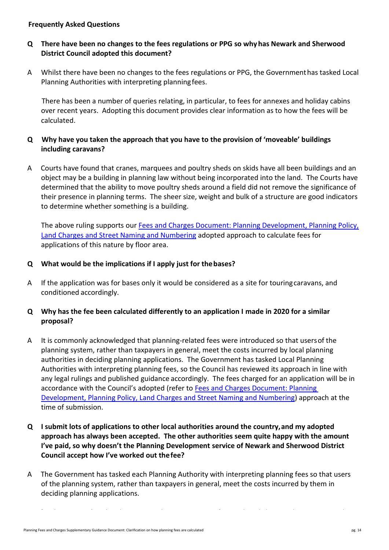# <span id="page-15-0"></span>**Frequently Asked Questions**

# **Q There have been no changes to the fees regulations or PPG so whyhas Newark and Sherwood District Council adopted this document?**

A Whilst there have been no changes to the fees regulations or PPG, the Governmenthas tasked Local Planning Authorities with interpreting planningfees.

 There has been a number of queries relating, in particular, to fees for annexes and holiday cabins over recent years. Adopting this document provides clear information as to how the fees will be calculated.

# **Q Why have you taken the approach that you have to the provision of 'moveable' buildings including caravans?**

A Courts have found that cranes, marquees and poultry sheds on skids have all been buildings and an object may be a building in planning law without being incorporated into the land. The Courts have determined that the ability to move poultry sheds around a field did not remove the significance of their presence in planning terms. The sheer size, weight and bulk of a structure are good indicators to determine whether something is a building.

The above ruling supports our [Fees and Charges Document: Planning Development, Planning Policy,](https://www.newark-sherwooddc.gov.uk/media/newarkandsherwood/imagesandfiles/planningpolicy/pdfs/fees%20and%20charges%20budget%202021-22.pdf)  [Land Charges and Street Naming and Numbering](https://www.newark-sherwooddc.gov.uk/media/newarkandsherwood/imagesandfiles/planningpolicy/pdfs/fees%20and%20charges%20budget%202021-22.pdf) adopted approach to calculate fees for applications of this nature by floor area.

# **Q What would be the implications if I apply just for thebases?**

A If the application was for bases only it would be considered as a site for touringcaravans, and conditioned accordingly.

# **Q Why has the fee been calculated differently to an application I made in 2020 for a similar proposal?**

- A It is commonly acknowledged that planning-related fees were introduced so that usersof the planning system, rather than taxpayers in general, meet the costs incurred by local planning authorities in deciding planning applications. The Government has tasked Local Planning Authorities with interpreting planning fees, so the Council has reviewed its approach in line with any legal rulings and published guidance accordingly. The fees charged for an application will be in accordance with the Council's adopted (refer to Fees and Charges Document: Planning [Development, Planning Policy, Land Charges and Street Naming and Numbering\)](https://www.newark-sherwooddc.gov.uk/media/newarkandsherwood/imagesandfiles/planningpolicy/pdfs/fees%20and%20charges%20budget%202021-22.pdf) approach at the time of submission.
- **Q I submit lots of applications to other local authorities around the country,and my adopted approach has always been accepted. The other authorities seem quite happy with the amount I've paid, so why doesn't the Planning Development service of Newark and Sherwood District Council accept how I've worked out thefee?**
- A The Government has tasked each Planning Authority with interpreting planning fees so that users of the planning system, rather than taxpayers in general, meet the costs incurred by them in deciding planning applications.